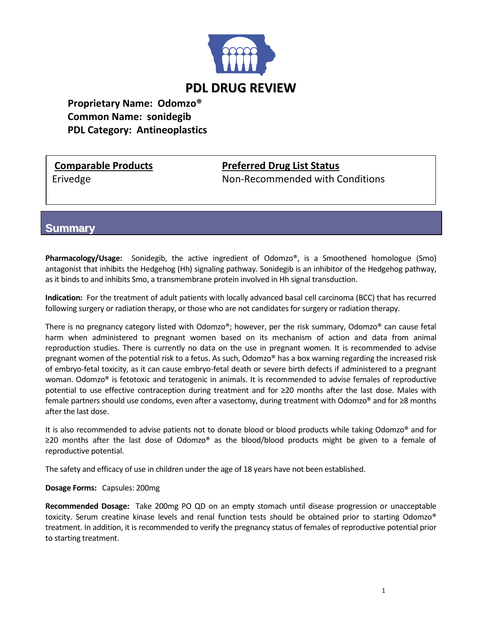

**Proprietary Name: Odomzo® Common Name: sonidegib PDL Category: Antineoplastics**

## **Comparable Products Preferred Drug List Status**

Erivedge **Non-Recommended with Conditions** 

**Summary**

**Pharmacology/Usage:** Sonidegib, the active ingredient of Odomzo®, is a Smoothened homologue (Smo) antagonist that inhibits the Hedgehog (Hh) signaling pathway. Sonidegib is an inhibitor of the Hedgehog pathway, as it binds to and inhibits Smo, a transmembrane protein involved in Hh signal transduction.

**Indication:** For the treatment of adult patients with locally advanced basal cell carcinoma (BCC) that has recurred following surgery or radiation therapy, or those who are not candidates for surgery or radiation therapy.

There is no pregnancy category listed with Odomzo®; however, per the risk summary, Odomzo® can cause fetal harm when administered to pregnant women based on its mechanism of action and data from animal reproduction studies. There is currently no data on the use in pregnant women. It is recommended to advise pregnant women of the potential risk to a fetus. As such, Odomzo® has a box warning regarding the increased risk of embryo-fetal toxicity, as it can cause embryo-fetal death or severe birth defects if administered to a pregnant woman. Odomzo® is fetotoxic and teratogenic in animals. It is recommended to advise females of reproductive potential to use effective contraception during treatment and for ≥20 months after the last dose. Males with female partners should use condoms, even after a vasectomy, during treatment with Odomzo® and for ≥8 months after the last dose.

It is also recommended to advise patients not to donate blood or blood products while taking Odomzo® and for ≥20 months after the last dose of Odomzo® as the blood/blood products might be given to a female of reproductive potential.

The safety and efficacy of use in children under the age of 18 years have not been established.

### **Dosage Forms:** Capsules: 200mg

**Recommended Dosage:** Take 200mg PO QD on an empty stomach until disease progression or unacceptable toxicity. Serum creatine kinase levels and renal function tests should be obtained prior to starting Odomzo® treatment. In addition, it is recommended to verify the pregnancy status of females of reproductive potential prior to starting treatment.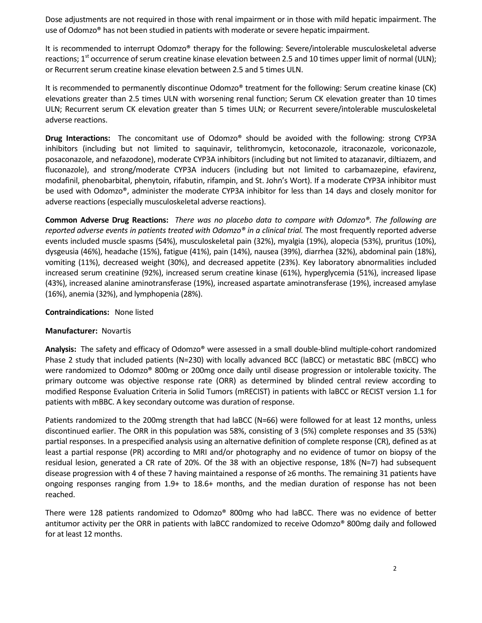Dose adjustments are not required in those with renal impairment or in those with mild hepatic impairment. The use of Odomzo® has not been studied in patients with moderate or severe hepatic impairment.

It is recommended to interrupt Odomzo® therapy for the following: Severe/intolerable musculoskeletal adverse reactions;  $1^{st}$  occurrence of serum creatine kinase elevation between 2.5 and 10 times upper limit of normal (ULN); or Recurrent serum creatine kinase elevation between 2.5 and 5 times ULN.

It is recommended to permanently discontinue Odomzo<sup>®</sup> treatment for the following: Serum creatine kinase (CK) elevations greater than 2.5 times ULN with worsening renal function; Serum CK elevation greater than 10 times ULN; Recurrent serum CK elevation greater than 5 times ULN; or Recurrent severe/intolerable musculoskeletal adverse reactions.

**Drug Interactions:** The concomitant use of Odomzo® should be avoided with the following: strong CYP3A inhibitors (including but not limited to saquinavir, telithromycin, ketoconazole, itraconazole, voriconazole, posaconazole, and nefazodone), moderate CYP3A inhibitors (including but not limited to atazanavir, diltiazem, and fluconazole), and strong/moderate CYP3A inducers (including but not limited to carbamazepine, efavirenz, modafinil, phenobarbital, phenytoin, rifabutin, rifampin, and St. John's Wort). If a moderate CYP3A inhibitor must be used with Odomzo®, administer the moderate CYP3A inhibitor for less than 14 days and closely monitor for adverse reactions (especially musculoskeletal adverse reactions).

**Common Adverse Drug Reactions:** *There was no placebo data to compare with Odomzo®. The following are reported adverse events in patients treated with Odomzo® in a clinical trial.* The most frequently reported adverse events included muscle spasms (54%), musculoskeletal pain (32%), myalgia (19%), alopecia (53%), pruritus (10%), dysgeusia (46%), headache (15%), fatigue (41%), pain (14%), nausea (39%), diarrhea (32%), abdominal pain (18%), vomiting (11%), decreased weight (30%), and decreased appetite (23%). Key laboratory abnormalities included increased serum creatinine (92%), increased serum creatine kinase (61%), hyperglycemia (51%), increased lipase (43%), increased alanine aminotransferase (19%), increased aspartate aminotransferase (19%), increased amylase (16%), anemia (32%), and lymphopenia (28%).

#### **Contraindications:** None listed

### **Manufacturer:** Novartis

**Analysis:** The safety and efficacy of Odomzo® were assessed in a small double-blind multiple-cohort randomized Phase 2 study that included patients (N=230) with locally advanced BCC (laBCC) or metastatic BBC (mBCC) who were randomized to Odomzo® 800mg or 200mg once daily until disease progression or intolerable toxicity. The primary outcome was objective response rate (ORR) as determined by blinded central review according to modified Response Evaluation Criteria in Solid Tumors (mRECIST) in patients with laBCC or RECIST version 1.1 for patients with mBBC. A key secondary outcome was duration of response.

Patients randomized to the 200mg strength that had laBCC (N=66) were followed for at least 12 months, unless discontinued earlier. The ORR in this population was 58%, consisting of 3 (5%) complete responses and 35 (53%) partial responses. In a prespecified analysis using an alternative definition of complete response (CR), defined as at least a partial response (PR) according to MRI and/or photography and no evidence of tumor on biopsy of the residual lesion, generated a CR rate of 20%. Of the 38 with an objective response, 18% (N=7) had subsequent disease progression with 4 of these 7 having maintained a response of ≥6 months. The remaining 31 patients have ongoing responses ranging from 1.9+ to 18.6+ months, and the median duration of response has not been reached.

There were 128 patients randomized to Odomzo® 800mg who had laBCC. There was no evidence of better antitumor activity per the ORR in patients with laBCC randomized to receive Odomzo® 800mg daily and followed for at least 12 months.